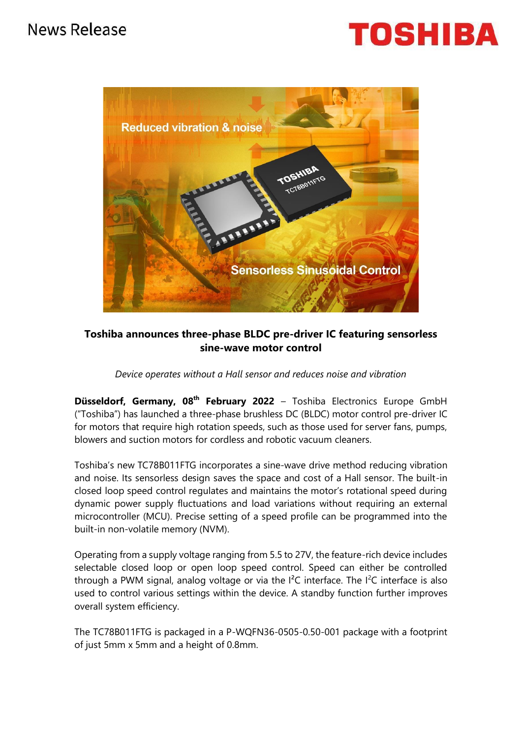



## **Toshiba announces three-phase BLDC pre-driver IC featuring sensorless sine-wave motor control**

## *Device operates without a Hall sensor and reduces noise and vibration*

**Düsseldorf, Germany, 08th February 2022** – Toshiba Electronics Europe GmbH ("Toshiba") has launched a three-phase brushless DC (BLDC) motor control pre-driver IC for motors that require high rotation speeds, such as those used for server fans, pumps, blowers and suction motors for cordless and robotic vacuum cleaners.

Toshiba's new TC78B011FTG incorporates a sine-wave drive method reducing vibration and noise. Its sensorless design saves the space and cost of a Hall sensor. The built-in closed loop speed control regulates and maintains the motor's rotational speed during dynamic power supply fluctuations and load variations without requiring an external microcontroller (MCU). Precise setting of a speed profile can be programmed into the built-in non-volatile memory (NVM).

Operating from a supply voltage ranging from 5.5 to 27V, the feature-rich device includes selectable closed loop or open loop speed control. Speed can either be controlled through a PWM signal, analog voltage or via the  $I^2C$  interface. The  $I^2C$  interface is also used to control various settings within the device. A standby function further improves overall system efficiency.

The TC78B011FTG is packaged in a P-WQFN36-0505-0.50-001 package with a footprint of just 5mm x 5mm and a height of 0.8mm.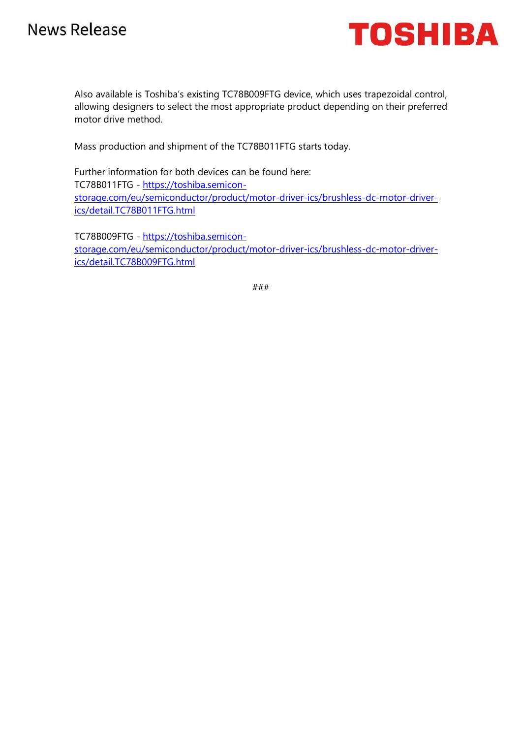# **News Release**



Also available is Toshiba's existing TC78B009FTG device, which uses trapezoidal control, allowing designers to select the most appropriate product depending on their preferred motor drive method.

Mass production and shipment of the TC78B011FTG starts today.

Further information for both devices can be found here: TC78B011FTG - [https://toshiba.semicon](https://toshiba.semicon-storage.com/eu/semiconductor/product/motor-driver-ics/brushless-dc-motor-driver-ics/detail.TC78B011FTG.html)[storage.com/eu/semiconductor/product/motor-driver-ics/brushless-dc-motor-driver](https://toshiba.semicon-storage.com/eu/semiconductor/product/motor-driver-ics/brushless-dc-motor-driver-ics/detail.TC78B011FTG.html)[ics/detail.TC78B011FTG.html](https://toshiba.semicon-storage.com/eu/semiconductor/product/motor-driver-ics/brushless-dc-motor-driver-ics/detail.TC78B011FTG.html)

TC78B009FTG - [https://toshiba.semicon](https://toshiba.semicon-storage.com/eu/semiconductor/product/motor-driver-ics/brushless-dc-motor-driver-ics/detail.TC78B009FTG.html)[storage.com/eu/semiconductor/product/motor-driver-ics/brushless-dc-motor-driver](https://toshiba.semicon-storage.com/eu/semiconductor/product/motor-driver-ics/brushless-dc-motor-driver-ics/detail.TC78B009FTG.html)[ics/detail.TC78B009FTG.html](https://toshiba.semicon-storage.com/eu/semiconductor/product/motor-driver-ics/brushless-dc-motor-driver-ics/detail.TC78B009FTG.html)

###